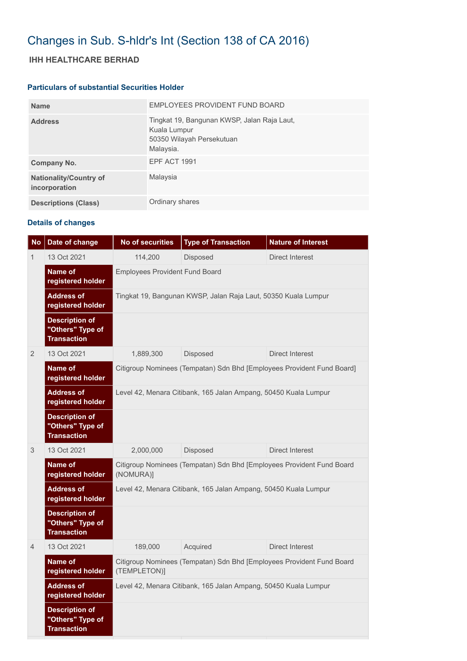# Changes in Sub. S-hldr's Int (Section 138 of CA 2016)

## **IHH HEALTHCARE BERHAD**

#### **Particulars of substantial Securities Holder**

| <b>Name</b>                                    | EMPLOYEES PROVIDENT FUND BOARD                                                                        |
|------------------------------------------------|-------------------------------------------------------------------------------------------------------|
| <b>Address</b>                                 | Tingkat 19, Bangunan KWSP, Jalan Raja Laut,<br>Kuala Lumpur<br>50350 Wilayah Persekutuan<br>Malaysia. |
| Company No.                                    | <b>EPF ACT 1991</b>                                                                                   |
| <b>Nationality/Country of</b><br>incorporation | Malaysia                                                                                              |
| <b>Descriptions (Class)</b>                    | Ordinary shares                                                                                       |

### **Details of changes**

| <b>No</b>      | Date of change                                                  | <b>No of securities</b>                                                               | <b>Type of Transaction</b> | <b>Nature of Interest</b> |  |
|----------------|-----------------------------------------------------------------|---------------------------------------------------------------------------------------|----------------------------|---------------------------|--|
| 1              | 13 Oct 2021                                                     | 114,200                                                                               | Disposed                   | Direct Interest           |  |
|                | Name of<br>registered holder                                    | <b>Employees Provident Fund Board</b>                                                 |                            |                           |  |
|                | <b>Address of</b><br>registered holder                          | Tingkat 19, Bangunan KWSP, Jalan Raja Laut, 50350 Kuala Lumpur                        |                            |                           |  |
|                | <b>Description of</b><br>"Others" Type of<br><b>Transaction</b> |                                                                                       |                            |                           |  |
| 2              | 13 Oct 2021                                                     | 1,889,300                                                                             | Disposed                   | Direct Interest           |  |
|                | Name of<br>registered holder                                    | Citigroup Nominees (Tempatan) Sdn Bhd [Employees Provident Fund Board]                |                            |                           |  |
|                | <b>Address of</b><br>registered holder                          | Level 42, Menara Citibank, 165 Jalan Ampang, 50450 Kuala Lumpur                       |                            |                           |  |
|                | <b>Description of</b><br>"Others" Type of<br><b>Transaction</b> |                                                                                       |                            |                           |  |
| 3              | 13 Oct 2021                                                     | 2,000,000                                                                             | Disposed                   | <b>Direct Interest</b>    |  |
|                | Name of<br>registered holder                                    | Citigroup Nominees (Tempatan) Sdn Bhd [Employees Provident Fund Board<br>(NOMURA)]    |                            |                           |  |
|                | <b>Address of</b><br>registered holder                          | Level 42, Menara Citibank, 165 Jalan Ampang, 50450 Kuala Lumpur                       |                            |                           |  |
|                | <b>Description of</b><br>"Others" Type of<br><b>Transaction</b> |                                                                                       |                            |                           |  |
| $\overline{4}$ | 13 Oct 2021                                                     | 189,000                                                                               | Acquired                   | Direct Interest           |  |
|                | Name of<br>registered holder                                    | Citigroup Nominees (Tempatan) Sdn Bhd [Employees Provident Fund Board<br>(TEMPLETON)] |                            |                           |  |
|                | <b>Address of</b><br>registered holder                          | Level 42, Menara Citibank, 165 Jalan Ampang, 50450 Kuala Lumpur                       |                            |                           |  |
|                | <b>Description of</b><br>"Others" Type of<br><b>Transaction</b> |                                                                                       |                            |                           |  |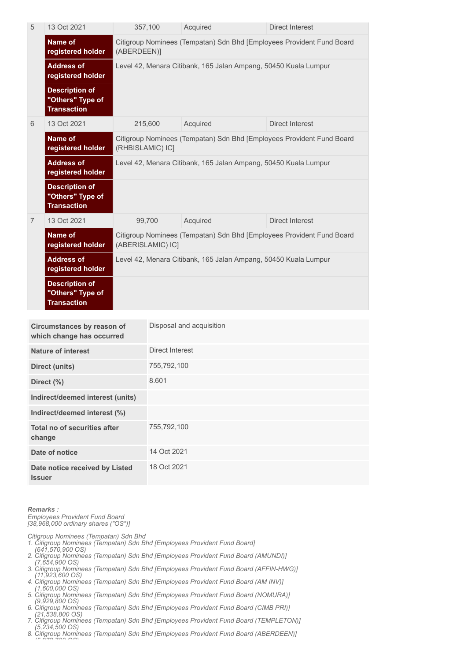| 5              | 13 Oct 2021                                                     | 357,100                                                                                    | Acquired | <b>Direct Interest</b> |  |
|----------------|-----------------------------------------------------------------|--------------------------------------------------------------------------------------------|----------|------------------------|--|
|                | Name of<br>registered holder                                    | Citigroup Nominees (Tempatan) Sdn Bhd [Employees Provident Fund Board<br>(ABERDEEN)]       |          |                        |  |
|                | <b>Address of</b><br>registered holder                          | Level 42, Menara Citibank, 165 Jalan Ampang, 50450 Kuala Lumpur                            |          |                        |  |
|                | <b>Description of</b><br>"Others" Type of<br><b>Transaction</b> |                                                                                            |          |                        |  |
| 6              | 13 Oct 2021                                                     | 215,600                                                                                    | Acquired | Direct Interest        |  |
|                | <b>Name of</b><br>registered holder                             | Citigroup Nominees (Tempatan) Sdn Bhd [Employees Provident Fund Board<br>(RHBISLAMIC) IC]  |          |                        |  |
|                | <b>Address of</b><br>registered holder                          | Level 42, Menara Citibank, 165 Jalan Ampang, 50450 Kuala Lumpur                            |          |                        |  |
|                | <b>Description of</b><br>"Others" Type of<br><b>Transaction</b> |                                                                                            |          |                        |  |
| $\overline{7}$ | 13 Oct 2021                                                     | 99,700                                                                                     | Acquired | <b>Direct Interest</b> |  |
|                | <b>Name of</b><br>registered holder                             | Citigroup Nominees (Tempatan) Sdn Bhd [Employees Provident Fund Board<br>(ABERISLAMIC) IC] |          |                        |  |
|                | <b>Address of</b><br>registered holder                          | Level 42, Menara Citibank, 165 Jalan Ampang, 50450 Kuala Lumpur                            |          |                        |  |
|                | <b>Description of</b><br>"Others" Type of<br><b>Transaction</b> |                                                                                            |          |                        |  |

| Circumstances by reason of<br>which change has occurred | Disposal and acquisition |
|---------------------------------------------------------|--------------------------|
| <b>Nature of interest</b>                               | Direct Interest          |
| <b>Direct (units)</b>                                   | 755,792,100              |
| Direct $(\%)$                                           | 8.601                    |
| Indirect/deemed interest (units)                        |                          |
| Indirect/deemed interest (%)                            |                          |
| Total no of securities after<br>change                  | 755,792,100              |
| Date of notice                                          | 14 Oct 2021              |
| Date notice received by Listed<br><b>Issuer</b>         | 18 Oct 2021              |

#### *Remarks :*

*Employees Provident Fund Board [38,968,000 ordinary shares ("OS")]*

*Citigroup Nominees (Tempatan) Sdn Bhd* 

*1. Citigroup Nominees (Tempatan) Sdn Bhd [Employees Provident Fund Board]* 

 *(641,570,900 OS)*

*(5 972 700 OS)*

- *2. Citigroup Nominees (Tempatan) Sdn Bhd [Employees Provident Fund Board (AMUNDI)] (7,654,900 OS)*
- *3. Citigroup Nominees (Tempatan) Sdn Bhd [Employees Provident Fund Board (AFFIN-HWG)] (11,923,600 OS)*
- *4. Citigroup Nominees (Tempatan) Sdn Bhd [Employees Provident Fund Board (AM INV)] (1,600,000 OS)*
- *5. Citigroup Nominees (Tempatan) Sdn Bhd [Employees Provident Fund Board (NOMURA)] (9,929,800 OS)*
- *6. Citigroup Nominees (Tempatan) Sdn Bhd [Employees Provident Fund Board (CIMB PRI)]*
- *(21,538,800 OS) 7. Citigroup Nominees (Tempatan) Sdn Bhd [Employees Provident Fund Board (TEMPLETON)]*
- *(5,234,500 OS) 8. Citigroup Nominees (Tempatan) Sdn Bhd [Employees Provident Fund Board (ABERDEEN)]*